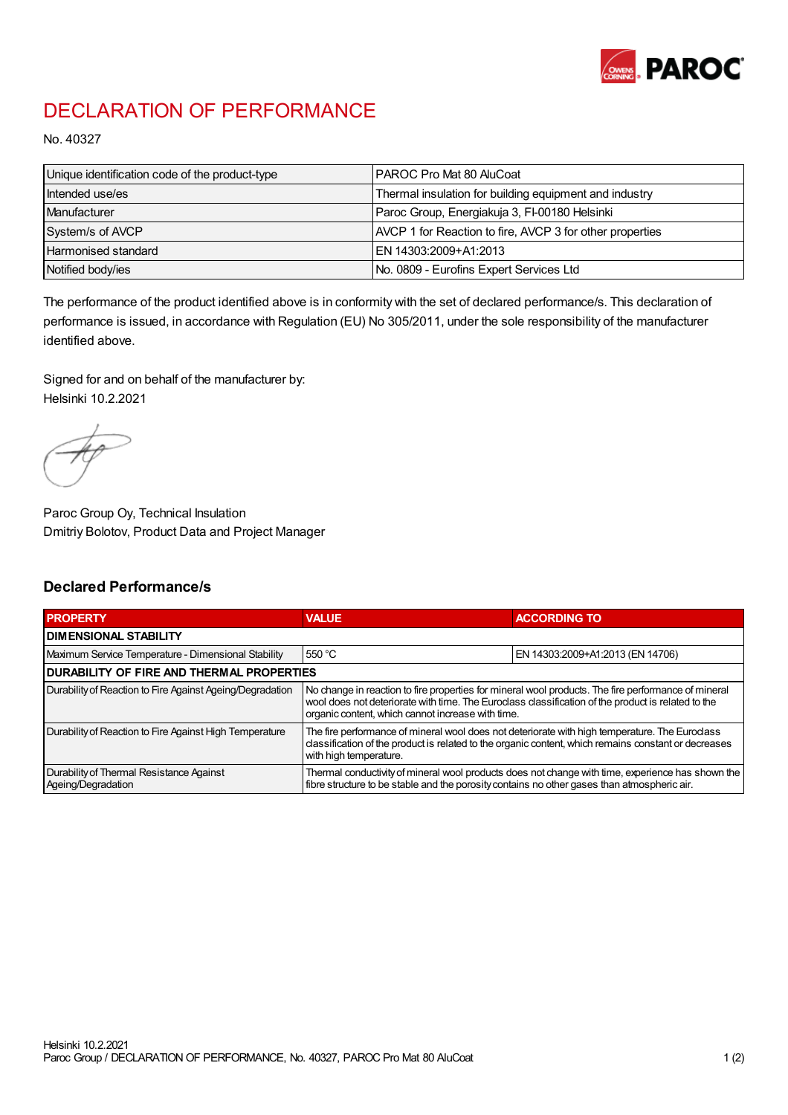

## DECLARATION OF PERFORMANCE

No. 40327

| Unique identification code of the product-type | IPAROC Pro Mat 80 AluCoat                                |
|------------------------------------------------|----------------------------------------------------------|
| Intended use/es                                | Thermal insulation for building equipment and industry   |
| Manufacturer                                   | Paroc Group, Energiakuja 3, FI-00180 Helsinki            |
| System/s of AVCP                               | AVCP 1 for Reaction to fire, AVCP 3 for other properties |
| Harmonised standard                            | IEN 14303:2009+A1:2013                                   |
| Notified body/ies                              | No. 0809 - Eurofins Expert Services Ltd                  |

The performance of the product identified above is in conformity with the set of declared performance/s. This declaration of performance is issued, in accordance with Regulation (EU) No 305/2011, under the sole responsibility of the manufacturer identified above.

Signed for and on behalf of the manufacturer by: Helsinki 10.2.2021

Paroc Group Oy, Technical Insulation Dmitriy Bolotov, Product Data and Project Manager

## Declared Performance/s

| <b>PROPERTY</b>                                                | <b>VALUE</b>                                                                                                                                                                                                                                                   | <b>ACCORDING TO</b>              |  |
|----------------------------------------------------------------|----------------------------------------------------------------------------------------------------------------------------------------------------------------------------------------------------------------------------------------------------------------|----------------------------------|--|
| <b>DIMENSIONAL STABILITY</b>                                   |                                                                                                                                                                                                                                                                |                                  |  |
| Maximum Service Temperature - Dimensional Stability            | 550 °C                                                                                                                                                                                                                                                         | EN 14303:2009+A1:2013 (EN 14706) |  |
| <b>DURABILITY OF FIRE AND THERMAL PROPERTIES</b>               |                                                                                                                                                                                                                                                                |                                  |  |
| Durability of Reaction to Fire Against Ageing/Degradation      | No change in reaction to fire properties for mineral wool products. The fire performance of mineral<br>wool does not deteriorate with time. The Euroclass classification of the product is related to the<br>organic content, which cannot increase with time. |                                  |  |
| Durability of Reaction to Fire Against High Temperature        | The fire performance of mineral wool does not deteriorate with high temperature. The Euroclass<br>classification of the product is related to the organic content, which remains constant or decreases<br>with high temperature.                               |                                  |  |
| Durability of Thermal Resistance Against<br>Ageing/Degradation | Thermal conductivity of mineral wool products does not change with time, experience has shown the<br>fibre structure to be stable and the porosity contains no other gases than atmospheric air.                                                               |                                  |  |